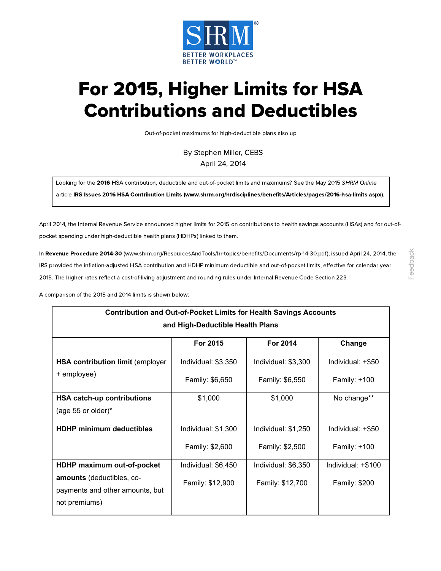

# For 2015, Higher Limits for HSA Contributions and Deductibles

Out-of-pocket maximums for high-deductible plans also up

By Stephen Miller, CEBS April 24, 2014

Looking for the 2016 HSA contribution, deductible and out-of-pocket limits and maximums? See the May 2015 SHRM Online

article IRS Issues 2016 HSA Contribution Limits [\(www.shrm.org/hrdisciplines/benefits/Articles/pages/2016-hsa-limits.aspx\)](https://www.shrm.org/hrdisciplines/benefits/Articles/pages/2016-hsa-limits.aspx).

April 2014, the Internal Revenue Service announced higher limits for 2015 on contributions to health savings accounts (HSAs) and for out-ofpocket spending under high-deductible health plans (HDHPs) linked to them.

In Revenue Procedure 2014-30 [\(www.shrm.org/ResourcesAndTools/hr-topics/benefits/Documents/rp-14-30.pdf\)](https://www.shrm.org/ResourcesAndTools/hr-topics/benefits/Documents/rp-14-30.pdf), issued April 24, 2014, the IRS provided the inflation-adjusted HSA contribution and HDHP minimum deductible and out-of-pocket limits, effective for calendar year 2015. The higher rates reflect a cost-of-living adjustment and rounding rules under Internal Revenue Code Section 223.

A comparison of the 2015 and 2014 limits is shown below:

| <b>Contribution and Out-of-Pocket Limits for Health Savings Accounts</b> |                     |                     |                      |  |
|--------------------------------------------------------------------------|---------------------|---------------------|----------------------|--|
| and High-Deductible Health Plans                                         |                     |                     |                      |  |
|                                                                          | For 2015            | For 2014            | Change               |  |
| HSA contribution limit (employer                                         | Individual: \$3,350 | Individual: \$3,300 | Individual: +\$50    |  |
| + employee)                                                              | Family: \$6,650     | Family: \$6,550     | Family: +100         |  |
| HSA catch-up contributions                                               | \$1,000             | \$1,000             | No change**          |  |
| (age 55 or older) $*$                                                    |                     |                     |                      |  |
| <b>HDHP minimum deductibles</b>                                          | Individual: \$1,300 | Individual: \$1,250 | Individual: +\$50    |  |
|                                                                          | Family: \$2,600     | Family: \$2,500     | Family: +100         |  |
| HDHP maximum out-of-pocket                                               | Individual: \$6,450 | Individual: \$6,350 | Individual: +\$100   |  |
| amounts (deductibles, co-<br>payments and other amounts, but             | Family: \$12,900    | Family: \$12,700    | <b>Family: \$200</b> |  |
| not premiums)                                                            |                     |                     |                      |  |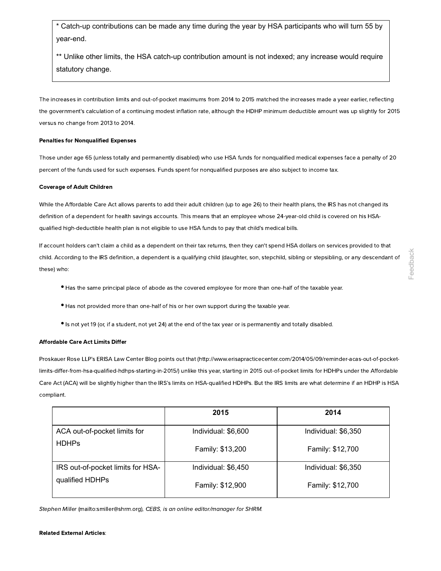Catch-up contributions can be made any time during the year by HSA participants who will turn 55 by year-end.

\*\* Unlike other limits, the HSA catch-up contribution amount is not indexed; any increase would require statutory change.

The increases in contribution limits and out-of-pocket maximums from 2014 to 2015 matched the increases made a year earlier, reflecting the government's calculation of a continuing modest inflation rate, although the HDHP minimum deductible amount was up slightly for 2015 versus no change from 2013 to 2014.

#### Penalties for Nonqualified Expenses

Those under age 65 (unless totally and permanently disabled) who use HSA funds for nonqualified medical expenses face a penalty of 20 percent of the funds used for such expenses. Funds spent for nonqualified purposes are also subject to income tax.

#### Coverage of Adult Children

While the Affordable Care Act allows parents to add their adult children (up to age 26) to their health plans, the IRS has not changed its definition of a dependent for health savings accounts. This means that an employee whose 24-year-old child is covered on his HSAqualified high-deductible health plan is not eligible to use HSA funds to pay that child's medical bills.

If account holders can't claim a child as a dependent on their tax returns, then they can't spend HSA dollars on services provided to that child. According to the IRS definition, a dependent is a qualifying child (daughter, son, stepchild, sibling or stepsibling, or any descendant of these) who:

- **•** Has the same principal place of abode as the covered employee for more than one-half of the taxable year.
- **•** Has not provided more than one-half of his or her own support during the taxable year.
- **•** Is not yet <sup>19</sup> (or, if <sup>a</sup> student, not yet 24) at the end of the tax year or is permanently and totally disabled.

#### Affordable Care Act Limits Differ

Proskauer Rose LLP's ERISA Law Center Blog points out that [\(http://www.erisapracticecenter.com/2014/05/09/reminder-acas-out-of-pocket](http://www.erisapracticecenter.com/2014/05/09/reminder-acas-out-of-pocket-limits-differ-from-hsa-qualified-hdhps-starting-in-2015/)limits-differ-from-hsa-qualified-hdhps-starting-in-2015/) unlike this year, starting in 2015 out-of-pocket limits for HDHPs under the Affordable Care Act (ACA) will be slightly higher than the IRS's limits on HSA-qualified HDHPs. But the IRS limits are what determine if an HDHP is HSA compliant.

|                                                      | 2015                | 2014                |
|------------------------------------------------------|---------------------|---------------------|
| ACA out-of-pocket limits for                         | Individual: \$6,600 | Individual: \$6,350 |
| <b>HDHPs</b>                                         | Family: \$13,200    | Family: \$12,700    |
| IRS out-of-pocket limits for HSA-<br>qualified HDHPs | Individual: \$6,450 | Individual: \$6,350 |
|                                                      | Family: \$12,900    | Family: \$12,700    |

Stephen Miller [\(mailto:smiller@shrm.org\)](mailto:smiller@shrm.org), CEBS, is an online editor/manager for SHRM.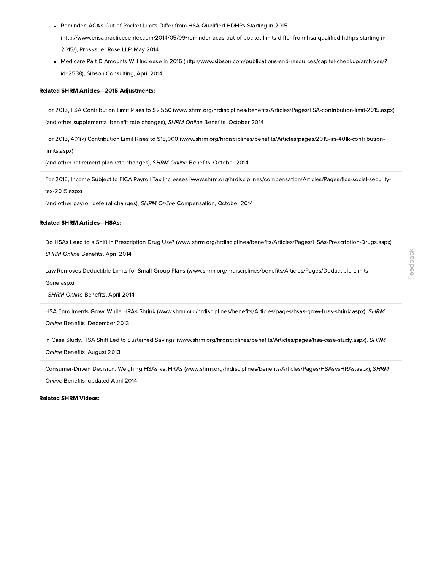- Reminder: ACA's Out-of-Pocket Limits Differ from HSA-Qualified HDHPs Starting in 2015 [\(http://www.erisapracticecenter.com/2014/05/09/reminder-acas-out-of-pocket-limits-differ-from-hsa-qualified-hdhps-starting-in-](http://www.erisapracticecenter.com/2014/05/09/reminder-acas-out-of-pocket-limits-differ-from-hsa-qualified-hdhps-starting-in-2015/)2015/), Proskauer Rose LLP, May 2014
- Medicare Part D Amounts Will Increase in 2015 [\(http://www.sibson.com/publications-and-resources/capital-checkup/archives/?](http://www.sibson.com/publications-and-resources/capital-checkup/archives/?id=2538) id=2538), Sibson Consulting, April 2014

#### Related SHRM Articles—2015 Adjustments:

For 2015, FSA Contribution Limit Rises to \$2,550 [\(www.shrm.org/hrdisciplines/benefits/Articles/Pages/FSA-contribution-limit-2015.aspx\)](https://www.shrm.org/hrdisciplines/benefits/Articles/Pages/FSA-contribution-limit-2015.aspx) (and other supplemental benefit rate changes), SHRM Online Benefits, October 2014

For 2015, 401(k) Contribution Limit Rises to \$18,000 [\(www.shrm.org/hrdisciplines/benefits/Articles/pages/2015-irs-401k-contribution](https://www.shrm.org/hrdisciplines/benefits/Articles/pages/2015-irs-401k-contribution-limits.aspx)limits.aspx)

(and other retirement plan rate changes), SHRM Online Benefits, October 2014

For 2015, Income Subject to FICA Payroll Tax Increases [\(www.shrm.org/hrdisciplines/compensation/Articles/Pages/fica-social-security](https://www.shrm.org/hrdisciplines/compensation/Articles/Pages/fica-social-security-tax-2015.aspx)tax-2015.aspx)

(and other payroll deferral changes), SHRM Online Compensation, October 2014

#### Related SHRM Articles—HSAs:

Do HSAs Lead to a Shift in Prescription Drug Use? [\(www.shrm.org/hrdisciplines/benefits/Articles/Pages/HSAs-Prescription-Drugs.aspx\)](https://www.shrm.org/hrdisciplines/benefits/Articles/Pages/HSAs-Prescription-Drugs.aspx), SHRM Online Benefits, April 2014

Law Removes Deductible Limits for Small-Group Plans [\(www.shrm.org/hrdisciplines/benefits/Articles/Pages/Deductible-Limits-](https://www.shrm.org/hrdisciplines/benefits/Articles/Pages/Deductible-Limits-Gone.aspx)Gone.aspx)

, SHRM Online Benefits, April 2014

HSA Enrollments Grow, While HRAs Shrink [\(www.shrm.org/hrdisciplines/benefits/Articles/pages/hsas-grow-hras-shrink.aspx\),](https://www.shrm.org/hrdisciplines/benefits/Articles/pages/hsas-grow-hras-shrink.aspx) SHRM Online Benefits, December 2013

In Case Study, HSA Shift Led to Sustained Savings [\(www.shrm.org/hrdisciplines/benefits/Articles/pages/hsa-case-study.aspx\)](https://www.shrm.org/hrdisciplines/benefits/Articles/pages/hsa-case-study.aspx), SHRM

Online Benefits, August 2013

Consumer-Driven Decision: Weighing HSAs vs. HRAs [\(www.shrm.org/hrdisciplines/benefits/Articles/Pages/HSAsvsHRAs.aspx\),](https://www.shrm.org/hrdisciplines/benefits/Articles/Pages/HSAsvsHRAs.aspx) SHRM Online Benefits, updated April 2014

Related SHRM Videos: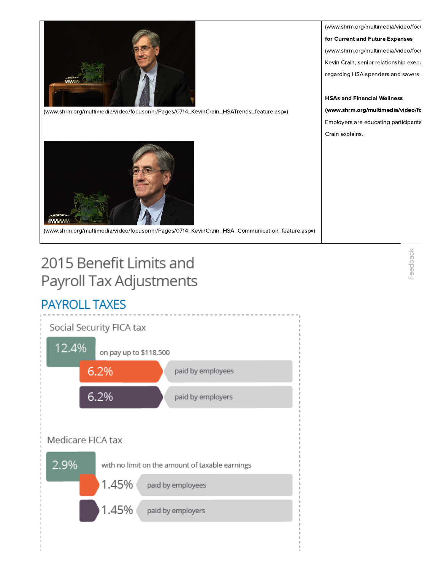



[\(www.shrm.org/multimedia/video/focusonhr/Pages/0714\\_KevinCrain\\_HSA\\_Communication\\_feature.aspx\)](https://www.shrm.org/multimedia/video/focusonhr/Pages/0714_KevinCrain_HSA_Communication_feature.aspx)

# 2015 Benefit Limits and Payroll Tax Adjustments

# **PAYROLL TAXES**



[\(www.shrm.org/multimedia/video/focu](https://www.shrm.org/multimedia/video/focusonhr/Pages/0714_KevinCrain_HSATrends_feature.aspx) for Current and Future Expenses (www.shrm.org/multimedia/video/focu Kevin Crain, senior relationship execu regarding HSA spenders and savers.

#### HSAs and Financial Wellness

[\(www.shrm.org/multimedia/video/fo](https://www.shrm.org/multimedia/video/focusonhr/Pages/0714_KevinCrain_HSA_Communication_feature.aspx)

Employers are educating participants Crain explains.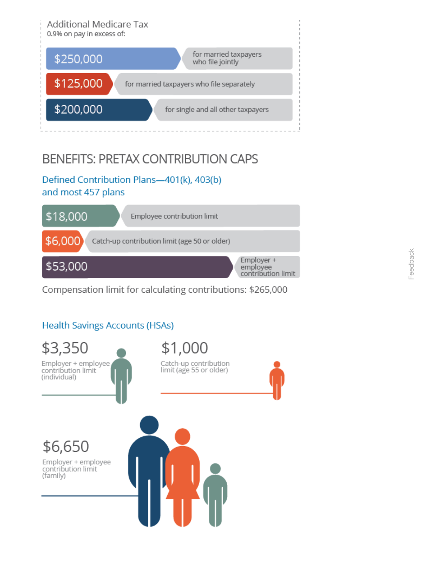

# **BENEFITS: PRETAX CONTRIBUTION CAPS**

## Defined Contribution Plans-401(k), 403(b) and most 457 plans



Compensation limit for calculating contributions: \$265,000

# **Health Savings Accounts (HSAs)**

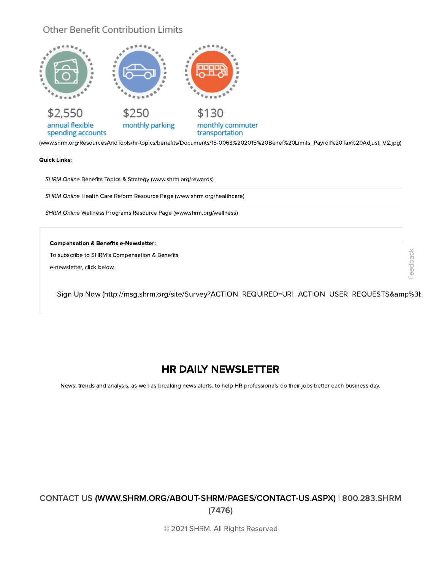### Other Benefit Contribution Limits



[\(www.shrm.org/ResourcesAndTools/hr-topics/benefits/Documents/15-0063%202015%20Benef%20Limits\\_Payroll%20Tax%20Adjust\\_V2.jpg\)](https://www.shrm.org/ResourcesAndTools/hr-topics/benefits/Documents/15-0063%202015%20Benef%20Limits_Payroll%20Tax%20Adjust_V2.jpg)

Quick Links:

SHRM Online Benefits Topics & Strategy [\(www.shrm.org/rewards\)](https://www.shrm.org/rewards)

SHRM Online Health Care Reform Resource Page [\(www.shrm.org/healthcare\)](https://www.shrm.org/healthcare)

SHRM Online Wellness Programs Resource Page [\(www.shrm.org/wellness\)](https://www.shrm.org/wellness)

#### Compensation & Benefits e-Newsletter:

To subscribe to SHRM's Compensation & Benefits

e-newsletter, click below.

Sign Up Now (http://msg.shrm.org/site/Survey?ACTION\_REQUIRED=URI\_ACTION\_USER\_REQUESTS&amp%3t

Feedback

## HR DAILY NEWSLETTER

News, trends and analysis, as well as breaking news alerts, to help HR professionals do their jobs better each business day.

### CONTACT US [\(WWW.SHRM.ORG/ABOUT-SHRM/PAGES/CONTACT-US.ASPX](https://www.shrm.org/about-shrm/Pages/Contact-Us.aspx)[\)](tel:800.283.SHRM%20(7476)) | 800.283.SHRM (7476)

© 2021 SHRM. All Rights Reserved